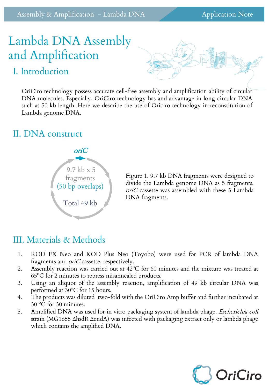Assembly & Amplification - Lambda DNA Application Note

# Lambda DNA Assembly and Amplification

## I. Introduction

OriCiro technology possess accurate cell-free assembly and amplification ability of circular DNA molecules. Especially, OriCiro technology has and advantage in long circular DNA such as 50 kb length. Here we describe the use of Oriciro technology in reconstitution of Lambda genome DNA.

#### II. DNA construct



Figure 1. 9.7 kb DNA fragments were designed to divide the Lambda genome DNA as 5 fragments. oriC cassette was assembled with these 5 Lambda DNA fragments.

## III. Materials & Methods

- 1. KOD FX Neo and KOD Plus Neo (Toyobo) were used for PCR of lambda DNA fragments and *oriC* cassette, respectively.
- 2. Assembly reaction was carried out at 42ºC for 60 minutes and the mixture was treated at 65ºC for 2 minutes to repress misannealed products.
- 3. Using an aliquot of the assembly reaction, amplification of 49 kb circular DNA was performed at 30ºC for 15 hours.
- 4. The products was diluted two-fold with the OriCiro Amp buffer and further incubated at 30 ºC for 30 minutes.
- 5. Amplified DNA was used for in vitro packaging system of lambda phage. *Escherichia coli* strain (MG1655 ΔhsdR ΔendA) was infected with packaging extract only or lambda phage which contains the amplified DNA.